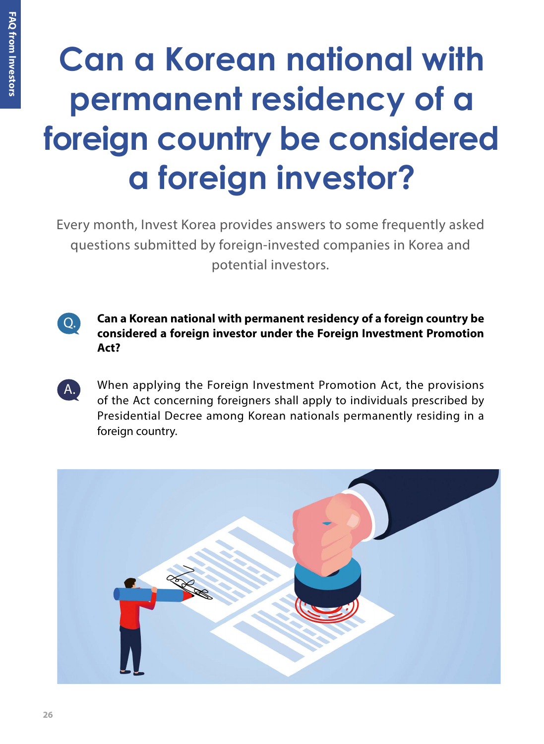## **Can a Korean national with permanent residency of a foreign country be considered a foreign investor?**

Every month, Invest Korea provides answers to some frequently asked questions submitted by foreign-invested companies in Korea and potential investors.



A.

**Can a Korean national with permanent residency of a foreign country be considered a foreign investor under the Foreign Investment Promotion Act?**

When applying the Foreign Investment Promotion Act, the provisions of the Act concerning foreigners shall apply to individuals prescribed by Presidential Decree among Korean nationals permanently residing in a foreign country.